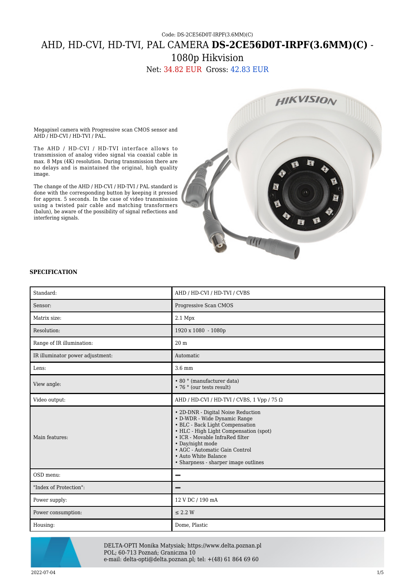## Code: DS-2CE56D0T-IRPF(3.6MM)(C) AHD, HD-CVI, HD-TVI, PAL CAMERA **DS-2CE56D0T-IRPF(3.6MM)(C)** - 1080p Hikvision

Net: 34.82 EUR Gross: 42.83 EUR



Megapixel camera with Progressive scan CMOS sensor and AHD / HD-CVI / HD-TVI / PAL.

The AHD / HD-CVI / HD-TVI interface allows to transmission of analog video signal via coaxial cable in max. 8 Mpx (4K) resolution. During transmission there are no delays and is maintained the original, high quality image.

The change of the AHD / HD-CVI / HD-TVI / PAL standard is done with the corresponding button by keeping it pressed for approx. 5 seconds. In the case of video transmission using a twisted pair cable and matching transformers (balun), be aware of the possibility of signal reflections and interfering signals.

## **SPECIFICATION**

| Standard:                        | AHD / HD-CVI / HD-TVI / CVBS                                                                                                                                                                                                                                                                             |
|----------------------------------|----------------------------------------------------------------------------------------------------------------------------------------------------------------------------------------------------------------------------------------------------------------------------------------------------------|
| Sensor:                          | Progressive Scan CMOS                                                                                                                                                                                                                                                                                    |
| Matrix size:                     | $2.1$ Mpx                                                                                                                                                                                                                                                                                                |
| Resolution:                      | 1920 x 1080 - 1080p                                                                                                                                                                                                                                                                                      |
| Range of IR illumination:        | 20 <sub>m</sub>                                                                                                                                                                                                                                                                                          |
| IR illuminator power adjustment: | Automatic                                                                                                                                                                                                                                                                                                |
| Lens:                            | 3.6 mm                                                                                                                                                                                                                                                                                                   |
| View angle:                      | • 80 ° (manufacturer data)<br>• 76 ° (our tests result)                                                                                                                                                                                                                                                  |
| Video output:                    | AHD / HD-CVI / HD-TVI / CVBS, 1 Vpp / 75 $\Omega$                                                                                                                                                                                                                                                        |
| Main features:                   | • 2D-DNR - Digital Noise Reduction<br>• D-WDR - Wide Dynamic Range<br>• BLC - Back Light Compensation<br>• HLC - High Light Compensation (spot)<br>• ICR - Movable InfraRed filter<br>• Day/night mode<br>• AGC - Automatic Gain Control<br>• Auto White Balance<br>• Sharpness - sharper image outlines |
| OSD menu:                        |                                                                                                                                                                                                                                                                                                          |
| "Index of Protection":           |                                                                                                                                                                                                                                                                                                          |
| Power supply:                    | 12 V DC / 190 mA                                                                                                                                                                                                                                                                                         |
| Power consumption:               | $\leq$ 2.2 W                                                                                                                                                                                                                                                                                             |
| Housing:                         | Dome, Plastic                                                                                                                                                                                                                                                                                            |



DELTA-OPTI Monika Matysiak; https://www.delta.poznan.pl POL; 60-713 Poznań; Graniczna 10 e-mail: delta-opti@delta.poznan.pl; tel: +(48) 61 864 69 60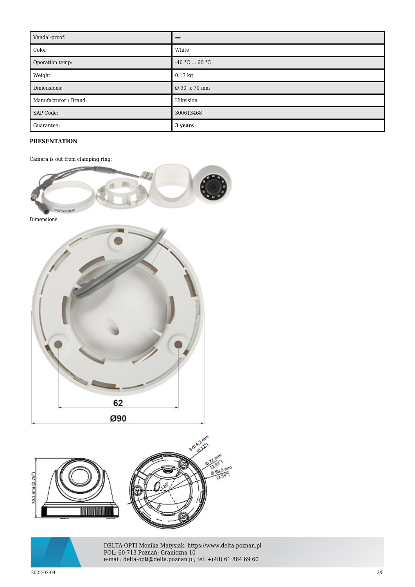| Vandal-proof:         |                 |
|-----------------------|-----------------|
| Color:                | White           |
| Operation temp:       | $-40 °C  60 °C$ |
| Weight:               | $0.13$ kg       |
| Dimensions:           | Ø 90 x 70 mm    |
| Manufacturer / Brand: | Hikvision       |
| SAP Code:             | 300613468       |
| Guarantee:            | 3 years         |

## **PRESENTATION**

Camera is out from clamping ring:





DELTA-OPTI Monika Matysiak; https://www.delta.poznan.pl POL; 60-713 Poznań; Graniczna 10 e-mail: delta-opti@delta.poznan.pl; tel: +(48) 61 864 69 60

2022-07-04 2/5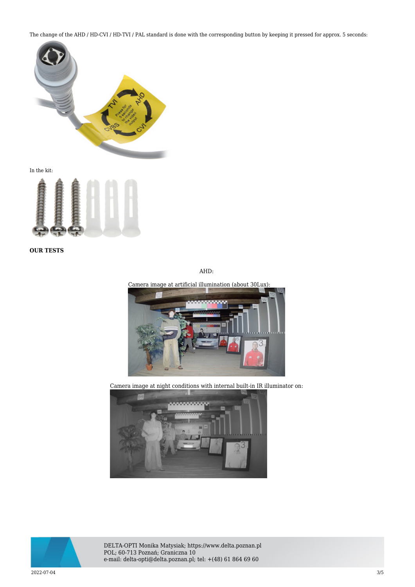The change of the AHD / HD-CVI / HD-TVI / PAL standard is done with the corresponding button by keeping it pressed for approx. 5 seconds:



In the kit:



**OUR TESTS**

AHD:

Camera image at artificial illumination (about 30Lux):



Camera image at night conditions with internal built-in IR illuminator on:





DELTA-OPTI Monika Matysiak; https://www.delta.poznan.pl POL; 60-713 Poznań; Graniczna 10 e-mail: delta-opti@delta.poznan.pl; tel: +(48) 61 864 69 60

2022-07-04 3/5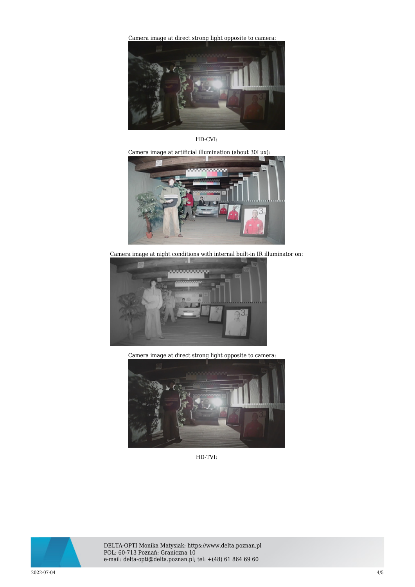[Camera image at direct strong light opposite to camera:](https://sklep.delta.poznan.pl/obrazki2/ds-2ce56d0t-irpf_3.6mm_C_ahd_img12_d.jpg) 



HD-CVI:

Camera image at artificial illumination (about 30Lux):



Camera image at night conditions with internal built-in IR illuminator on:



Camera image at direct strong light opposite to camera:



HD-TVI:



DELTA-OPTI Monika Matysiak; https://www.delta.poznan.pl POL; 60-713 Poznań; Graniczna 10 e-mail: delta-opti@delta.poznan.pl; tel: +(48) 61 864 69 60

2022-07-04 4/5